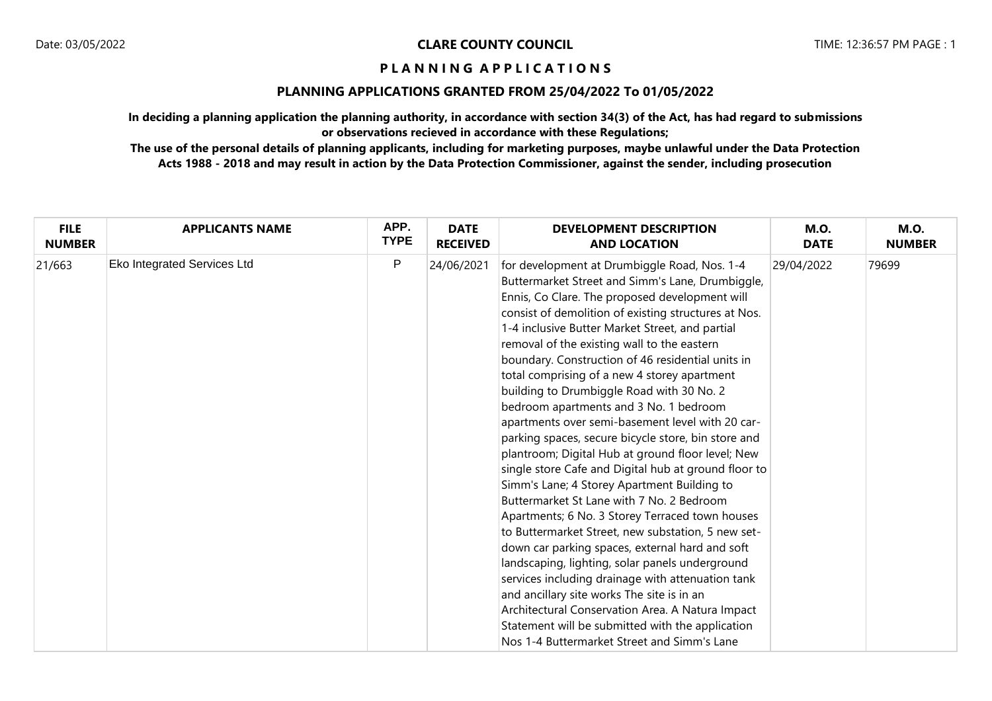## **PLANNING APPLICATIONS GRANTED FROM 25/04/2022 To 01/05/2022**

**In deciding a planning application the planning authority, in accordance with section 34(3) of the Act, has had regard to submissions or observations recieved in accordance with these Regulations;**

| <b>FILE</b>   | <b>APPLICANTS NAME</b>      | APP.        | <b>DATE</b>     | <b>DEVELOPMENT DESCRIPTION</b>                                                                                                                                                                                                                                                                                                                                                                                                                                                                                                                                                                                                                                                                                                                                                                                                                                                                                                                                                                                                                                                                                                                                                                                                                                                                        | <b>M.O.</b> | <b>M.O.</b>   |
|---------------|-----------------------------|-------------|-----------------|-------------------------------------------------------------------------------------------------------------------------------------------------------------------------------------------------------------------------------------------------------------------------------------------------------------------------------------------------------------------------------------------------------------------------------------------------------------------------------------------------------------------------------------------------------------------------------------------------------------------------------------------------------------------------------------------------------------------------------------------------------------------------------------------------------------------------------------------------------------------------------------------------------------------------------------------------------------------------------------------------------------------------------------------------------------------------------------------------------------------------------------------------------------------------------------------------------------------------------------------------------------------------------------------------------|-------------|---------------|
| <b>NUMBER</b> |                             | <b>TYPE</b> | <b>RECEIVED</b> | <b>AND LOCATION</b>                                                                                                                                                                                                                                                                                                                                                                                                                                                                                                                                                                                                                                                                                                                                                                                                                                                                                                                                                                                                                                                                                                                                                                                                                                                                                   | <b>DATE</b> | <b>NUMBER</b> |
| 21/663        | Eko Integrated Services Ltd | P           | 24/06/2021      | for development at Drumbiggle Road, Nos. 1-4<br>Buttermarket Street and Simm's Lane, Drumbiggle,<br>Ennis, Co Clare. The proposed development will<br>consist of demolition of existing structures at Nos.<br>1-4 inclusive Butter Market Street, and partial<br>removal of the existing wall to the eastern<br>boundary. Construction of 46 residential units in<br>total comprising of a new 4 storey apartment<br>building to Drumbiggle Road with 30 No. 2<br>bedroom apartments and 3 No. 1 bedroom<br>apartments over semi-basement level with 20 car-<br>parking spaces, secure bicycle store, bin store and<br>plantroom; Digital Hub at ground floor level; New<br>single store Cafe and Digital hub at ground floor to<br>Simm's Lane; 4 Storey Apartment Building to<br>Buttermarket St Lane with 7 No. 2 Bedroom<br>Apartments; 6 No. 3 Storey Terraced town houses<br>to Buttermarket Street, new substation, 5 new set-<br>down car parking spaces, external hard and soft<br>landscaping, lighting, solar panels underground<br>services including drainage with attenuation tank<br>and ancillary site works The site is in an<br>Architectural Conservation Area. A Natura Impact<br>Statement will be submitted with the application<br>Nos 1-4 Buttermarket Street and Simm's Lane | 29/04/2022  | 79699         |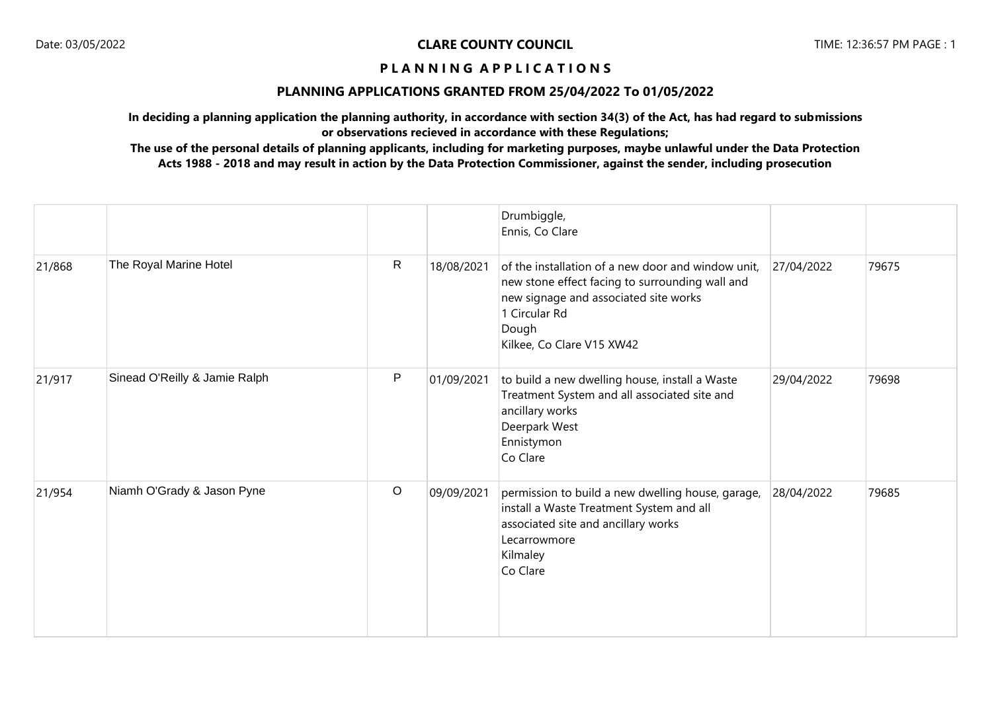#### **PLANNING APPLICATIONS GRANTED FROM 25/04/2022 To 01/05/2022**

**In deciding a planning application the planning authority, in accordance with section 34(3) of the Act, has had regard to submissions or observations recieved in accordance with these Regulations;**

|        |                               |              |            | Drumbiggle,<br>Ennis, Co Clare                                                                                                                                                                        |            |       |
|--------|-------------------------------|--------------|------------|-------------------------------------------------------------------------------------------------------------------------------------------------------------------------------------------------------|------------|-------|
| 21/868 | The Royal Marine Hotel        | R            | 18/08/2021 | of the installation of a new door and window unit,<br>new stone effect facing to surrounding wall and<br>new signage and associated site works<br>1 Circular Rd<br>Dough<br>Kilkee, Co Clare V15 XW42 | 27/04/2022 | 79675 |
| 21/917 | Sinead O'Reilly & Jamie Ralph | $\mathsf{P}$ | 01/09/2021 | to build a new dwelling house, install a Waste<br>Treatment System and all associated site and<br>ancillary works<br>Deerpark West<br>Ennistymon<br>Co Clare                                          | 29/04/2022 | 79698 |
| 21/954 | Niamh O'Grady & Jason Pyne    | $\circ$      | 09/09/2021 | permission to build a new dwelling house, garage,<br>install a Waste Treatment System and all<br>associated site and ancillary works<br>Lecarrowmore<br>Kilmaley<br>Co Clare                          | 28/04/2022 | 79685 |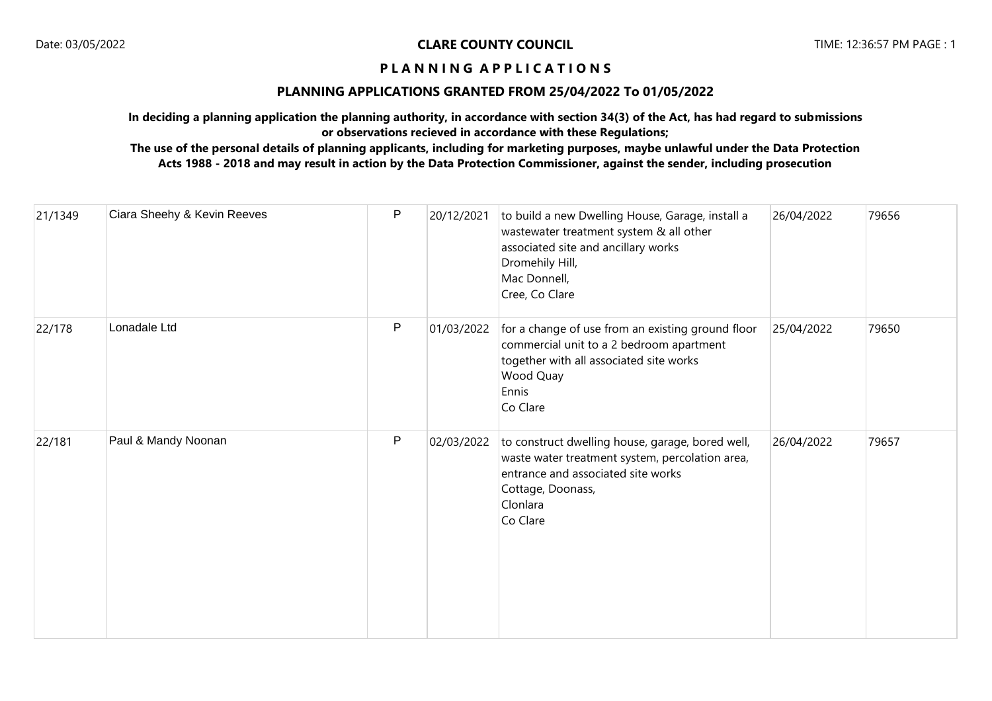## **PLANNING APPLICATIONS GRANTED FROM 25/04/2022 To 01/05/2022**

**In deciding a planning application the planning authority, in accordance with section 34(3) of the Act, has had regard to submissions or observations recieved in accordance with these Regulations;**

| 21/1349 | Ciara Sheehy & Kevin Reeves | ${\sf P}$    | 20/12/2021 | to build a new Dwelling House, Garage, install a<br>wastewater treatment system & all other<br>associated site and ancillary works<br>Dromehily Hill,<br>Mac Donnell,<br>Cree, Co Clare | 26/04/2022 | 79656 |
|---------|-----------------------------|--------------|------------|-----------------------------------------------------------------------------------------------------------------------------------------------------------------------------------------|------------|-------|
| 22/178  | Lonadale Ltd                | $\mathsf{P}$ | 01/03/2022 | for a change of use from an existing ground floor<br>commercial unit to a 2 bedroom apartment<br>together with all associated site works<br>Wood Quay<br>Ennis<br>Co Clare              | 25/04/2022 | 79650 |
| 22/181  | Paul & Mandy Noonan         | P            | 02/03/2022 | to construct dwelling house, garage, bored well,<br>waste water treatment system, percolation area,<br>entrance and associated site works<br>Cottage, Doonass,<br>Clonlara<br>Co Clare  | 26/04/2022 | 79657 |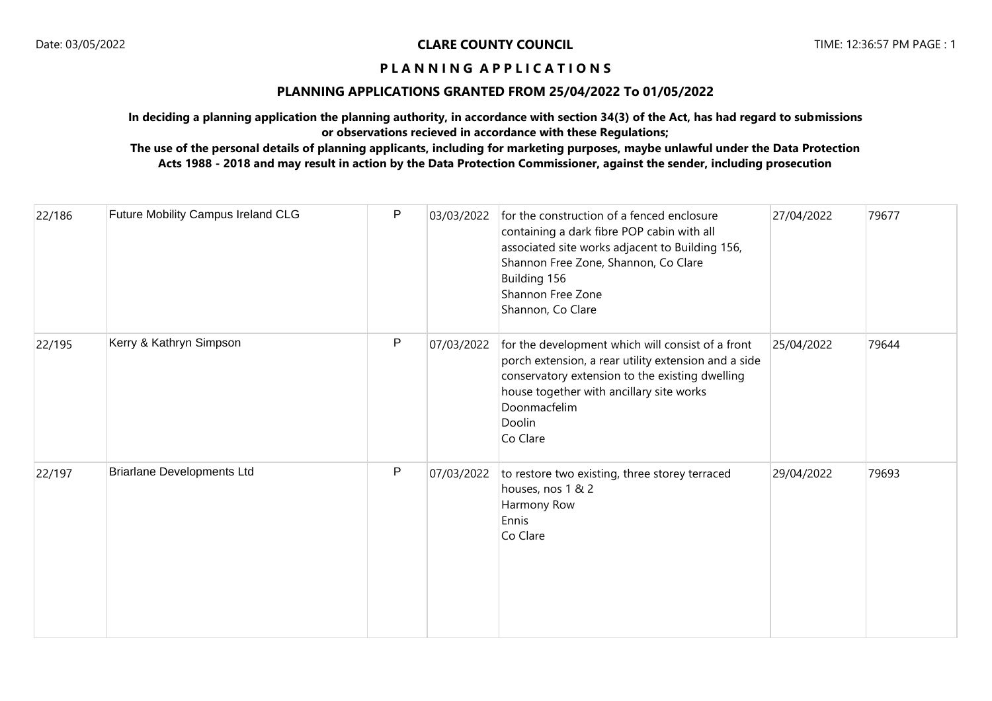## **PLANNING APPLICATIONS GRANTED FROM 25/04/2022 To 01/05/2022**

**In deciding a planning application the planning authority, in accordance with section 34(3) of the Act, has had regard to submissions or observations recieved in accordance with these Regulations;**

| 22/186 | Future Mobility Campus Ireland CLG | P | 03/03/2022 | for the construction of a fenced enclosure<br>containing a dark fibre POP cabin with all<br>associated site works adjacent to Building 156,<br>Shannon Free Zone, Shannon, Co Clare<br>Building 156<br>Shannon Free Zone<br>Shannon, Co Clare  | 27/04/2022 | 79677 |
|--------|------------------------------------|---|------------|------------------------------------------------------------------------------------------------------------------------------------------------------------------------------------------------------------------------------------------------|------------|-------|
| 22/195 | Kerry & Kathryn Simpson            | P | 07/03/2022 | for the development which will consist of a front<br>porch extension, a rear utility extension and a side<br>conservatory extension to the existing dwelling<br>house together with ancillary site works<br>Doonmacfelim<br>Doolin<br>Co Clare | 25/04/2022 | 79644 |
| 22/197 | <b>Briarlane Developments Ltd</b>  | P | 07/03/2022 | to restore two existing, three storey terraced<br>houses, nos 1 & 2<br>Harmony Row<br>Ennis<br>Co Clare                                                                                                                                        | 29/04/2022 | 79693 |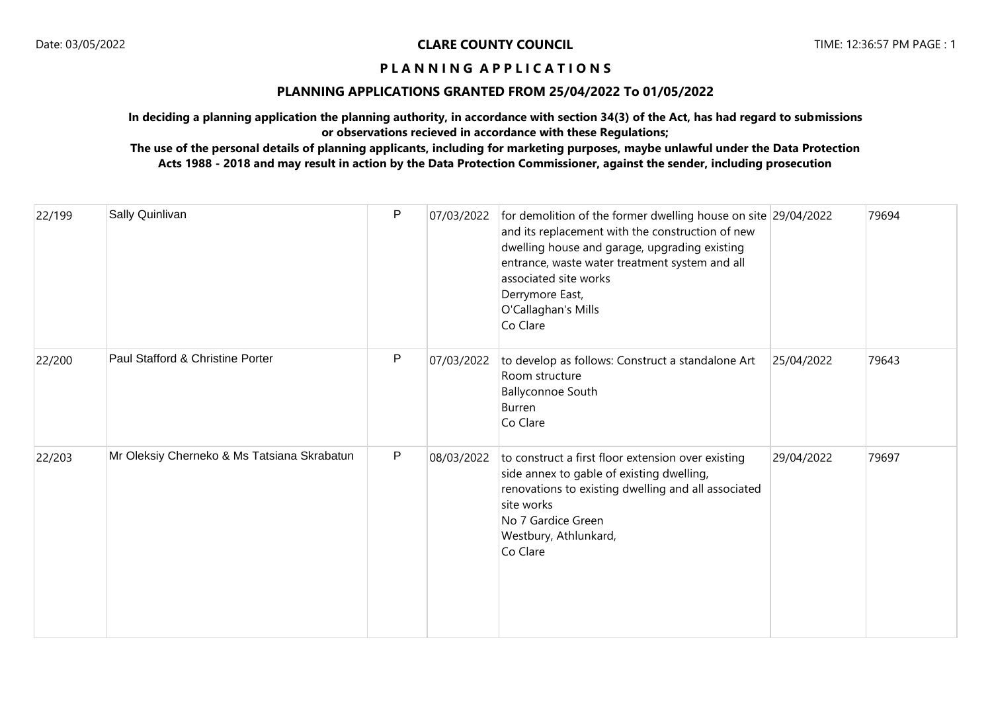## **PLANNING APPLICATIONS GRANTED FROM 25/04/2022 To 01/05/2022**

**In deciding a planning application the planning authority, in accordance with section 34(3) of the Act, has had regard to submissions or observations recieved in accordance with these Regulations;**

| 22/199 | Sally Quinlivan                             | P            | 07/03/2022 | for demolition of the former dwelling house on site 29/04/2022<br>and its replacement with the construction of new<br>dwelling house and garage, upgrading existing<br>entrance, waste water treatment system and all<br>associated site works<br>Derrymore East,<br>O'Callaghan's Mills<br>Co Clare |            | 79694 |
|--------|---------------------------------------------|--------------|------------|------------------------------------------------------------------------------------------------------------------------------------------------------------------------------------------------------------------------------------------------------------------------------------------------------|------------|-------|
| 22/200 | Paul Stafford & Christine Porter            | P            | 07/03/2022 | to develop as follows: Construct a standalone Art<br>Room structure<br><b>Ballyconnoe South</b><br>Burren<br>Co Clare                                                                                                                                                                                | 25/04/2022 | 79643 |
| 22/203 | Mr Oleksiy Cherneko & Ms Tatsiana Skrabatun | $\mathsf{P}$ | 08/03/2022 | to construct a first floor extension over existing<br>side annex to gable of existing dwelling,<br>renovations to existing dwelling and all associated<br>site works<br>No 7 Gardice Green<br>Westbury, Athlunkard,<br>Co Clare                                                                      | 29/04/2022 | 79697 |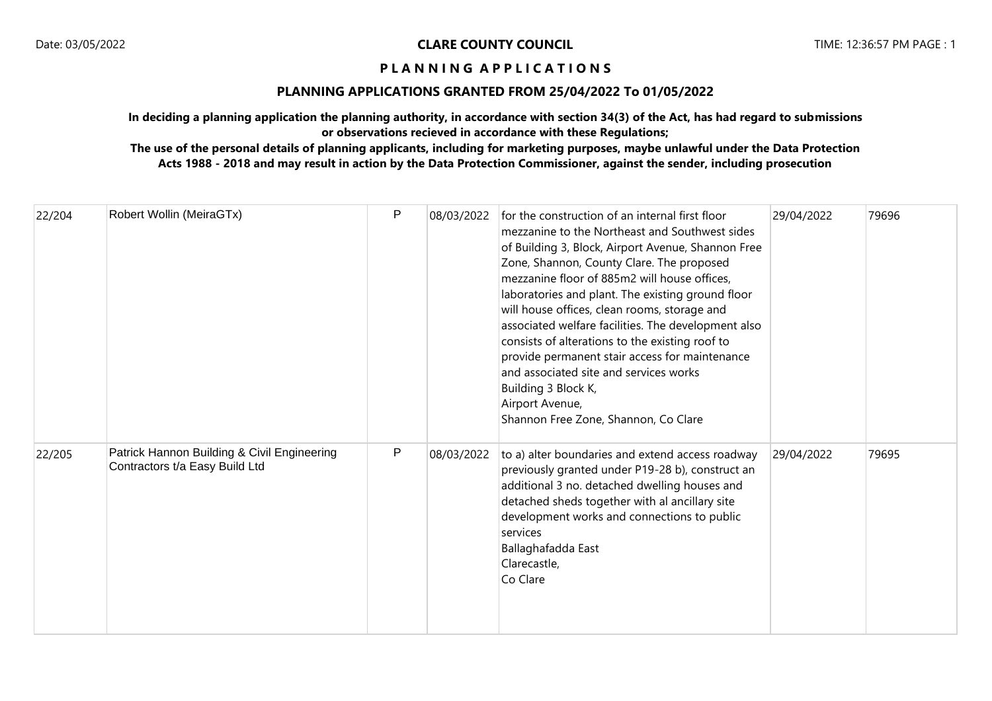## **PLANNING APPLICATIONS GRANTED FROM 25/04/2022 To 01/05/2022**

**In deciding a planning application the planning authority, in accordance with section 34(3) of the Act, has had regard to submissions or observations recieved in accordance with these Regulations;**

| 22/204 | Robert Wollin (MeiraGTx)                                                      | P | 08/03/2022 | for the construction of an internal first floor<br>mezzanine to the Northeast and Southwest sides<br>of Building 3, Block, Airport Avenue, Shannon Free<br>Zone, Shannon, County Clare. The proposed<br>mezzanine floor of 885m2 will house offices,<br>laboratories and plant. The existing ground floor<br>will house offices, clean rooms, storage and<br>associated welfare facilities. The development also<br>consists of alterations to the existing roof to<br>provide permanent stair access for maintenance<br>and associated site and services works<br>Building 3 Block K,<br>Airport Avenue,<br>Shannon Free Zone, Shannon, Co Clare | 29/04/2022 | 79696 |
|--------|-------------------------------------------------------------------------------|---|------------|---------------------------------------------------------------------------------------------------------------------------------------------------------------------------------------------------------------------------------------------------------------------------------------------------------------------------------------------------------------------------------------------------------------------------------------------------------------------------------------------------------------------------------------------------------------------------------------------------------------------------------------------------|------------|-------|
| 22/205 | Patrick Hannon Building & Civil Engineering<br>Contractors t/a Easy Build Ltd | P | 08/03/2022 | to a) alter boundaries and extend access roadway<br>previously granted under P19-28 b), construct an<br>additional 3 no. detached dwelling houses and<br>detached sheds together with al ancillary site<br>development works and connections to public<br>services<br>Ballaghafadda East<br>Clarecastle,<br>Co Clare                                                                                                                                                                                                                                                                                                                              | 29/04/2022 | 79695 |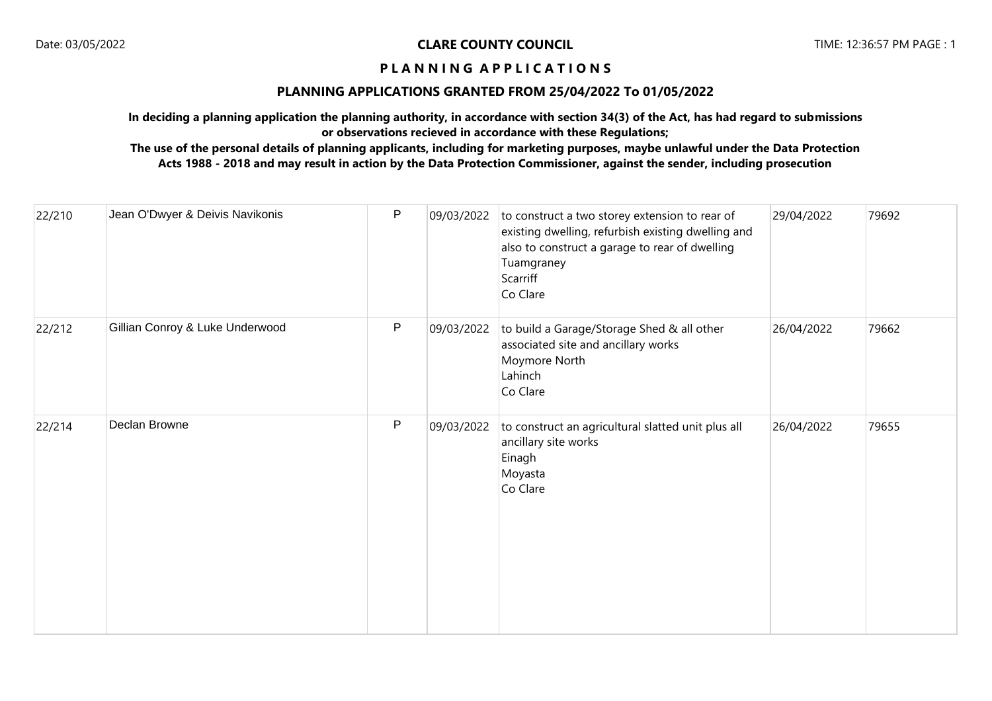## **PLANNING APPLICATIONS GRANTED FROM 25/04/2022 To 01/05/2022**

**In deciding a planning application the planning authority, in accordance with section 34(3) of the Act, has had regard to submissions or observations recieved in accordance with these Regulations;**

| 22/210 | Jean O'Dwyer & Deivis Navikonis | P | 09/03/2022 | to construct a two storey extension to rear of<br>existing dwelling, refurbish existing dwelling and<br>also to construct a garage to rear of dwelling<br>Tuamgraney<br>Scarriff<br>Co Clare | 29/04/2022 | 79692 |
|--------|---------------------------------|---|------------|----------------------------------------------------------------------------------------------------------------------------------------------------------------------------------------------|------------|-------|
| 22/212 | Gillian Conroy & Luke Underwood | P | 09/03/2022 | to build a Garage/Storage Shed & all other<br>associated site and ancillary works<br>Moymore North<br>Lahinch<br>Co Clare                                                                    | 26/04/2022 | 79662 |
| 22/214 | Declan Browne                   | P | 09/03/2022 | to construct an agricultural slatted unit plus all<br>ancillary site works<br>Einagh<br>Moyasta<br>Co Clare                                                                                  | 26/04/2022 | 79655 |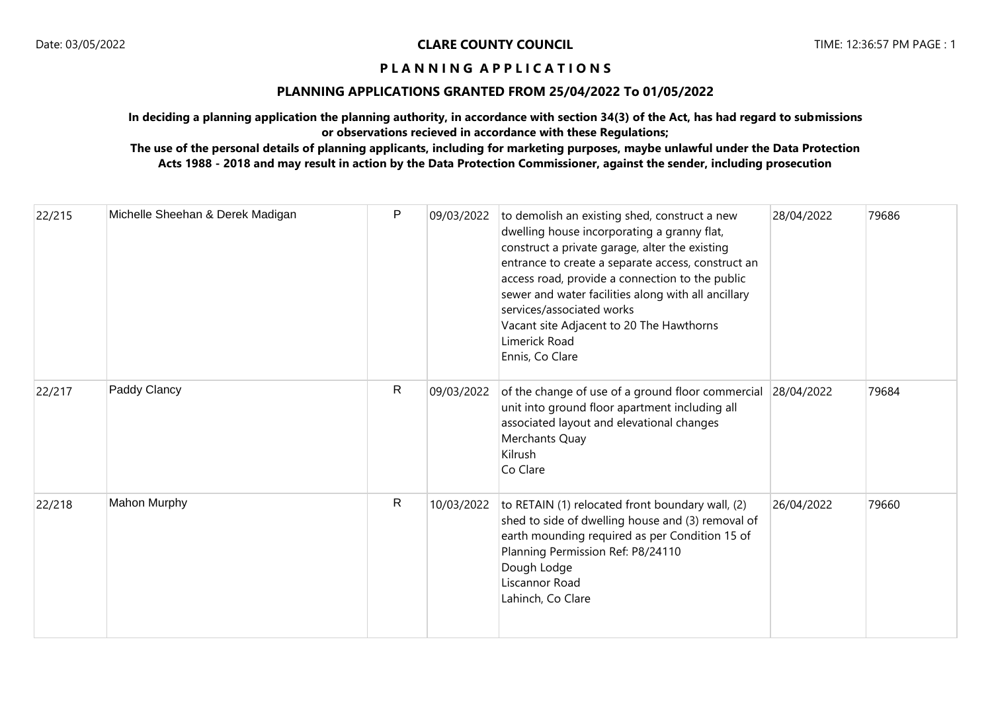## **PLANNING APPLICATIONS GRANTED FROM 25/04/2022 To 01/05/2022**

**In deciding a planning application the planning authority, in accordance with section 34(3) of the Act, has had regard to submissions or observations recieved in accordance with these Regulations;**

| 22/215 | Michelle Sheehan & Derek Madigan | $\mathsf{P}$ | 09/03/2022 | to demolish an existing shed, construct a new<br>dwelling house incorporating a granny flat,<br>construct a private garage, alter the existing<br>entrance to create a separate access, construct an<br>access road, provide a connection to the public<br>sewer and water facilities along with all ancillary<br>services/associated works<br>Vacant site Adjacent to 20 The Hawthorns<br>Limerick Road<br>Ennis, Co Clare | 28/04/2022 | 79686 |
|--------|----------------------------------|--------------|------------|-----------------------------------------------------------------------------------------------------------------------------------------------------------------------------------------------------------------------------------------------------------------------------------------------------------------------------------------------------------------------------------------------------------------------------|------------|-------|
| 22/217 | Paddy Clancy                     | $\mathsf{R}$ | 09/03/2022 | of the change of use of a ground floor commercial<br>unit into ground floor apartment including all<br>associated layout and elevational changes<br>Merchants Quay<br>Kilrush<br>Co Clare                                                                                                                                                                                                                                   | 28/04/2022 | 79684 |
| 22/218 | <b>Mahon Murphy</b>              | R            | 10/03/2022 | to RETAIN (1) relocated front boundary wall, (2)<br>shed to side of dwelling house and (3) removal of<br>earth mounding required as per Condition 15 of<br>Planning Permission Ref: P8/24110<br>Dough Lodge<br>Liscannor Road<br>Lahinch, Co Clare                                                                                                                                                                          | 26/04/2022 | 79660 |